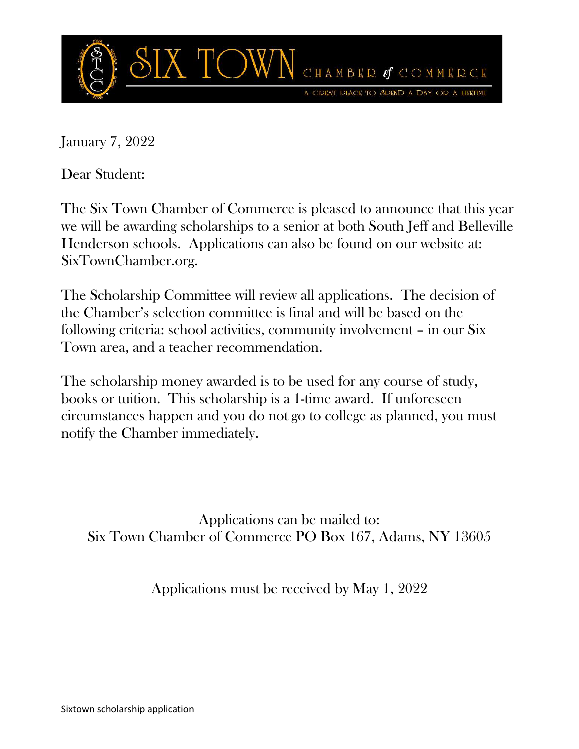

January 7, 2022

Dear Student:

The Six Town Chamber of Commerce is pleased to announce that this year we will be awarding scholarships to a senior at both South Jeff and Belleville Henderson schools. Applications can also be found on our website at: SixTownChamber.org.

The Scholarship Committee will review all applications. The decision of the Chamber's selection committee is final and will be based on the following criteria: school activities, community involvement – in our Six Town area, and a teacher recommendation.

The scholarship money awarded is to be used for any course of study, books or tuition. This scholarship is a 1-time award. If unforeseen circumstances happen and you do not go to college as planned, you must notify the Chamber immediately.

Applications can be mailed to: Six Town Chamber of Commerce PO Box 167, Adams, NY 13605

Applications must be received by May 1, 2022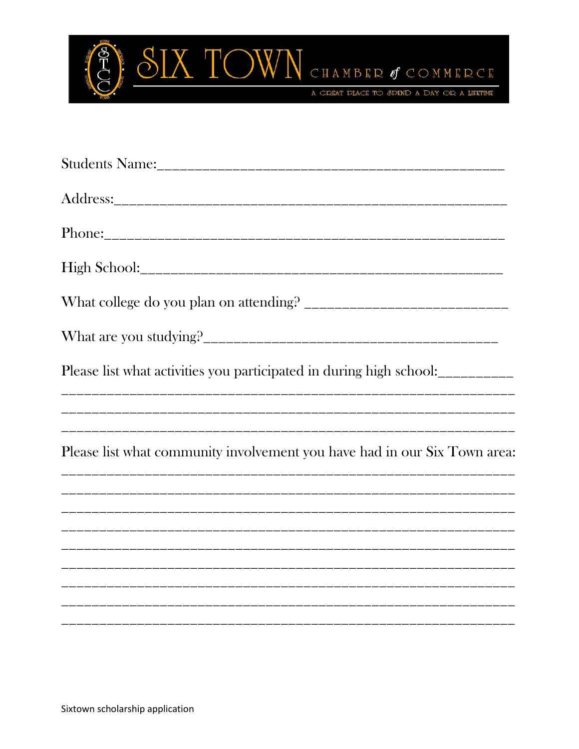

| Please list what activities you participated in during high school:       |
|---------------------------------------------------------------------------|
|                                                                           |
| Please list what community involvement you have had in our Six Town area: |
|                                                                           |
|                                                                           |
|                                                                           |
|                                                                           |
|                                                                           |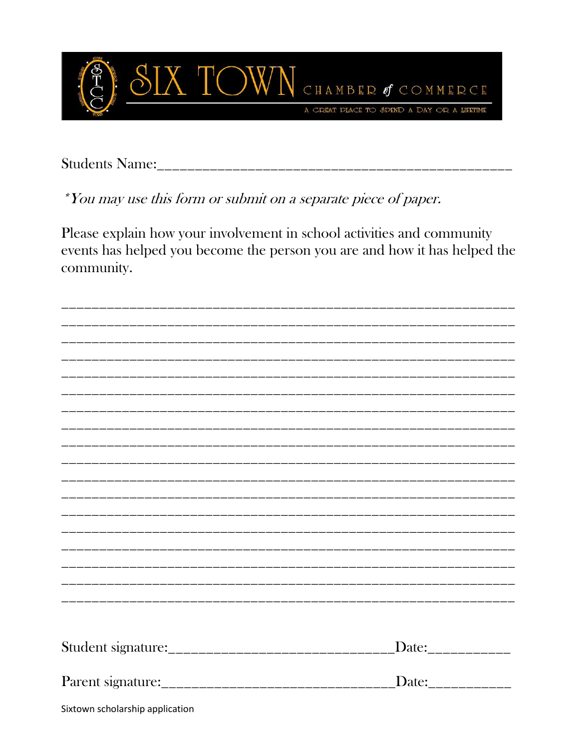

\*You may use this form or submit on a separate piece of paper.

Please explain how your involvement in school activities and community events has helped you become the person you are and how it has helped the community.

|                                 | Date:____________ |
|---------------------------------|-------------------|
|                                 |                   |
|                                 |                   |
|                                 | Date:____________ |
|                                 |                   |
| Sixtown scholarship application |                   |